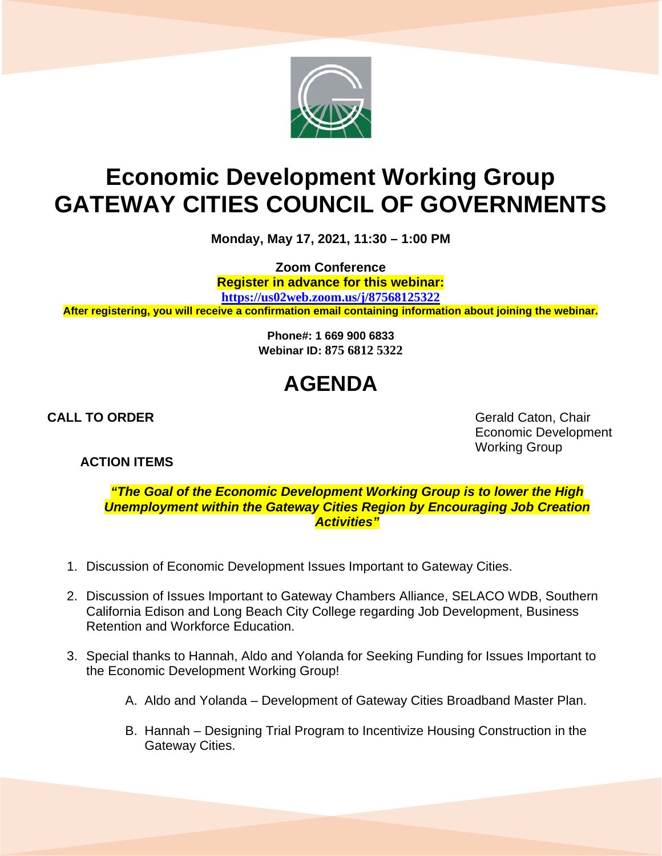

## **Economic Development Working Group GATEWAY CITIES COUNCIL OF GOVERNMENTS**

**Monday, May 17, 2021, 11:30 – 1:00 PM**

**Zoom Conference**

**Register in advance for this webinar:**

**<https://us02web.zoom.us/j/87568125322>**

**After registering, you will receive a confirmation email containing information about joining the webinar.**

**Phone#: 1 669 900 6833 Webinar ID: 875 6812 5322**

## **AGENDA**

**CALL TO ORDER** Gerald Caton, Chair Economic Development Working Group

**ACTION ITEMS**

*"The Goal of the Economic Development Working Group is to lower the High Unemployment within the Gateway Cities Region by Encouraging Job Creation Activities"*

- 1. Discussion of Economic Development Issues Important to Gateway Cities.
- 2. Discussion of Issues Important to Gateway Chambers Alliance, SELACO WDB, Southern California Edison and Long Beach City College regarding Job Development, Business Retention and Workforce Education.
- 3. Special thanks to Hannah, Aldo and Yolanda for Seeking Funding for Issues Important to the Economic Development Working Group!
	- A. Aldo and Yolanda Development of Gateway Cities Broadband Master Plan.
	- B. Hannah Designing Trial Program to Incentivize Housing Construction in the Gateway Cities.